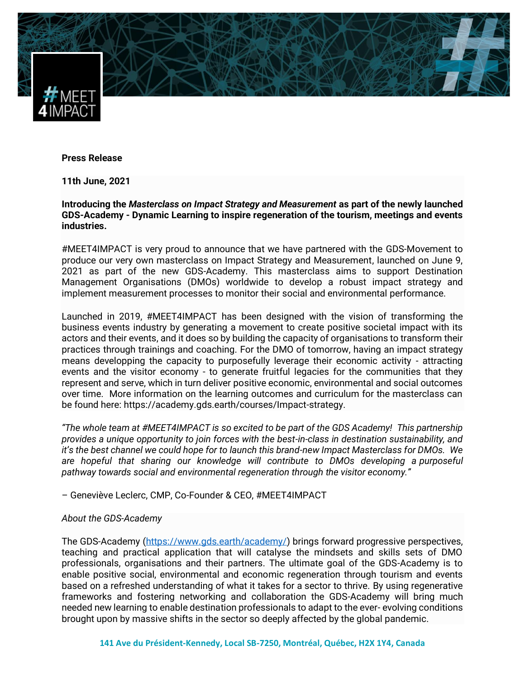

## **Press Release**

**11th June, 2021**

**Introducing the** *Masterclass on Impact Strategy and Measurement* **as part of the newly launched GDS-Academy - Dynamic Learning to inspire regeneration of the tourism, meetings and events industries.**

#MEET4IMPACT is very proud to announce that we have partnered with the GDS-Movement to produce our very own masterclass on Impact Strategy and Measurement, launched on June 9, 2021 as part of the new GDS-Academy. This masterclass aims to support Destination Management Organisations (DMOs) worldwide to develop a robust impact strategy and implement measurement processes to monitor their social and environmental performance.

Launched in 2019, #MEET4IMPACT has been designed with the vision of transforming the business events industry by generating a movement to create positive societal impact with its actors and their events, and it does so by building the capacity of organisations to transform their practices through trainings and coaching. For the DMO of tomorrow, having an impact strategy means developping the capacity to purposefully leverage their economic activity - attracting events and the visitor economy - to generate fruitful legacies for the communities that they represent and serve, which in turn deliver positive economic, environmental and social outcomes over time. More information on the learning outcomes and curriculum for the masterclass can be found here: https://academy.gds.earth/courses/Impact-strategy.

*"The whole team at #MEET4IMPACT is so excited to be part of the GDS Academy! This partnership provides a unique opportunity to join forces with the best-in-class in destination sustainability, and it's the best channel we could hope for to launch this brand-new Impact Masterclass for DMOs. We are hopeful that sharing our knowledge will contribute to DMOs developing a purposeful pathway towards social and environmental regeneration through the visitor economy."*

– Geneviève Leclerc, CMP, Co-Founder & CEO, #MEET4IMPACT

## *About the GDS-Academy*

The GDS-Academy [\(https://www.gds.earth/academy/\)](https://www.gds.earth/academy/) brings forward progressive perspectives, teaching and practical application that will catalyse the mindsets and skills sets of DMO professionals, organisations and their partners. The ultimate goal of the GDS-Academy is to enable positive social, environmental and economic regeneration through tourism and events based on a refreshed understanding of what it takes for a sector to thrive. By using regenerative frameworks and fostering networking and collaboration the GDS-Academy will bring much needed new learning to enable destination professionals to adapt to the ever- evolving conditions brought upon by massive shifts in the sector so deeply affected by the global pandemic.